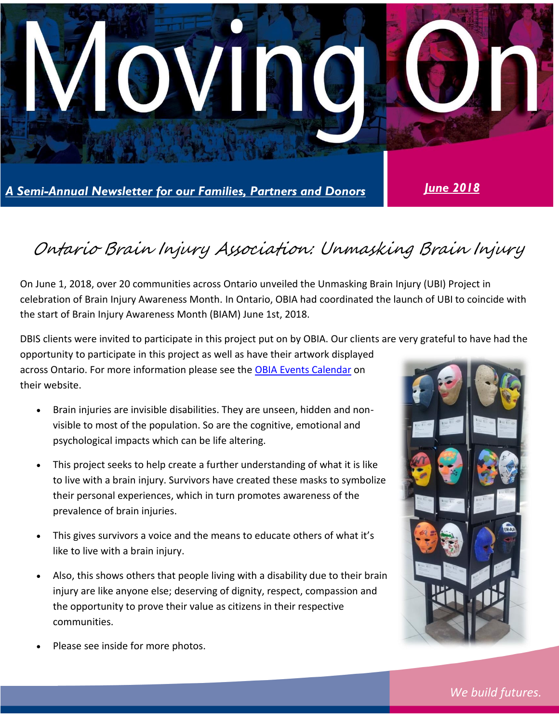

# Ontario Brain Injury Association: Unmasking Brain Injury

On June 1, 2018, over 20 communities across Ontario unveiled the Unmasking Brain Injury (UBI) Project in celebration of Brain Injury Awareness Month. In Ontario, OBIA had coordinated the launch of UBI to coincide with the start of Brain Injury Awareness Month (BIAM) June 1st, 2018.

DBIS clients were invited to participate in this project put on by OBIA. Our clients are very grateful to have had the opportunity to participate in this project as well as have their artwork displayed across Ontario. For more information please see the [OBIA Events Calendar](http://obia.ca/events/) on their website.

- Brain injuries are invisible disabilities. They are unseen, hidden and nonvisible to most of the population. So are the cognitive, emotional and psychological impacts which can be life altering.
- This project seeks to help create a further understanding of what it is like to live with a brain injury. Survivors have created these masks to symbolize their personal experiences, which in turn promotes awareness of the prevalence of brain injuries.
- This gives survivors a voice and the means to educate others of what it's like to live with a brain injury.
- Also, this shows others that people living with a disability due to their brain injury are like anyone else; deserving of dignity, respect, compassion and the opportunity to prove their value as citizens in their respective communities.



Please see inside for more photos.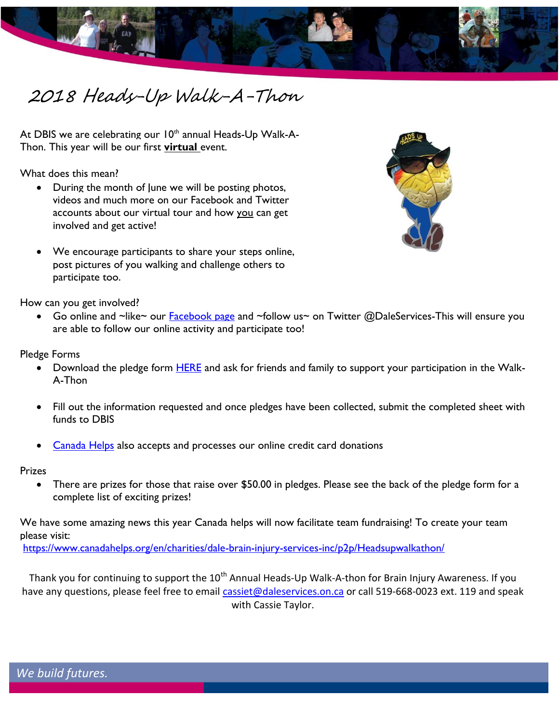

# 2018 Heads-Up Walk-A-Thon

At DBIS we are celebrating our  $10<sup>th</sup>$  annual Heads-Up Walk-A-Thon. This year will be our first **virtual** event.

What does this mean?

- During the month of lune we will be posting photos, videos and much more on our Facebook and Twitter accounts about our virtual tour and how you can get involved and get active!
- We encourage participants to share your steps online, post pictures of you walking and challenge others to participate too.

How can you get involved?

Go online and ~like~ our **Facebook page** and ~follow us~ on Twitter @DaleServices-This will ensure you are able to follow our online activity and participate too!

Pledge Forms

- Download the pledge form [HERE](http://daleservices.on.ca/sites/default/files/Walk%20Pledge%20Form%202018.pdf) and ask for friends and family to support your participation in the Walk-A-Thon
- Fill out the information requested and once pledges have been collected, submit the completed sheet with funds to DBIS
- [Canada Helps](https://www.canadahelps.org/en/charities/dale-brain-injury-services-inc/#donate-now-pane) also accepts and processes our online credit card donations

Prizes

• There are prizes for those that raise over \$50.00 in pledges. Please see the back of the pledge form for a complete list of exciting prizes!

We have some amazing news this year Canada helps will now facilitate team fundraising! To create your team please visit:

<https://www.canadahelps.org/en/charities/dale-brain-injury-services-inc/p2p/Headsupwalkathon/>

Thank you for continuing to support the 10<sup>th</sup> Annual Heads-Up Walk-A-thon for Brain Injury Awareness. If you have any questions, please feel free to email [cassiet@daleservices.on.ca](mailto:cassiet@daleservices.on.ca) or call 519-668-0023 ext. 119 and speak with Cassie Taylor.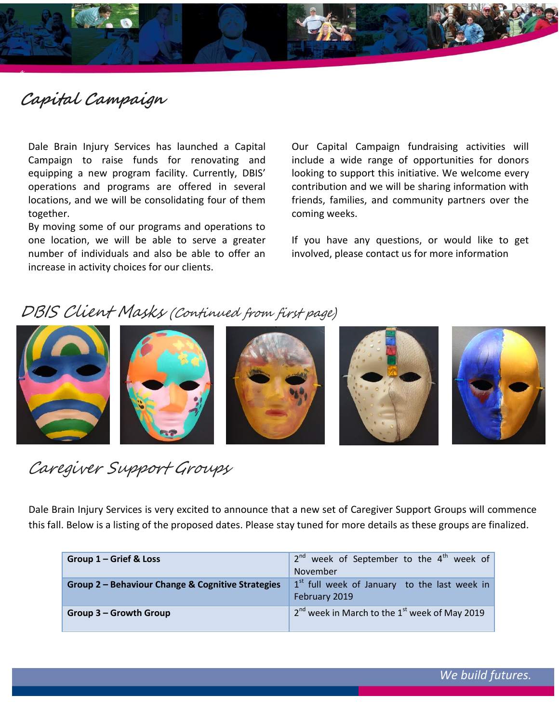

## **Capital Campaign**

**a**

Dale Brain Injury Services has launched a Capital Campaign to raise funds for renovating and equipping a new program facility. Currently, DBIS' operations and programs are offered in several locations, and we will be consolidating four of them together.

By moving some of our programs and operations to one location, we will be able to serve a greater number of individuals and also be able to offer an increase in activity choices for our clients.

Our Capital Campaign fundraising activities will include a wide range of opportunities for donors looking to support this initiative. We welcome every contribution and we will be sharing information with friends, families, and community partners over the coming weeks.

If you have any questions, or would like to get involved, please contact us for more information

### DBIS Client Masks (Continued from first page)



Caregiver Support Groups

Dale Brain Injury Services is very excited to announce that a new set of Caregiver Support Groups will commence this fall. Below is a listing of the proposed dates. Please stay tuned for more details as these groups are finalized.

| Group 1 – Grief & Loss                            | $2^{nd}$ week of September to the $4^{th}$ week of<br>November  |
|---------------------------------------------------|-----------------------------------------------------------------|
| Group 2 - Behaviour Change & Cognitive Strategies | $1st$ full week of January to the last week in<br>February 2019 |
| Group 3 - Growth Group                            | $2nd$ week in March to the $1st$ week of May 2019               |